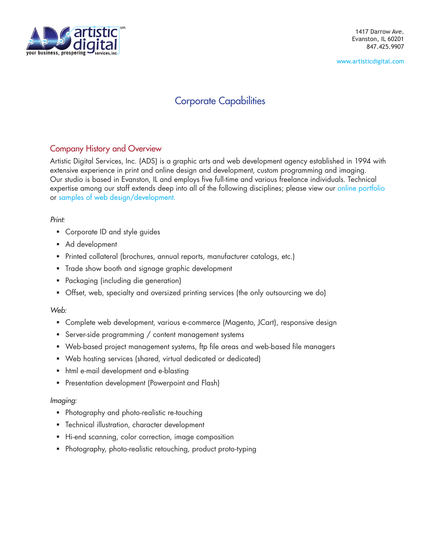

[www.artisticdigital.com](http://www.artisticdigital.com)

# Corporate Capabilities

## Company History and Overview

Artistic Digital Services, Inc. (ADS) is a graphic arts and web development agency established in 1994 with extensive experience in print and online design and development, custom programming and imaging. Our studio is based in Evanston, IL and employs five full-time and various freelance individuals. Technical expertise among our staff extends deep into all of the following disciplines; please view our [online portfolio](http://www.artisticdigital.com/printPortfolio.php?albumid=11) or [samples of web design/development](http://www.artisticdigital.com/webPortfolio.php?albumid=15).

## *Print:*

- Corporate ID and style guides
- Ad development
- Printed collateral (brochures, annual reports, manufacturer catalogs, etc.)
- Trade show booth and signage graphic development
- Packaging (including die generation)
- Offset, web, specialty and oversized printing services (the only outsourcing we do)

## *Web:*

- Complete web development, various e-commerce (Magento, JCart), responsive design
- **Server-side programming / content management systems**
- Web-based project management systems, ftp file areas and web-based file managers
- Web hosting services (shared, virtual dedicated or dedicated)
- html e-mail development and e-blasting
- **Presentation development (Powerpoint and Flash)**

### *Imaging:*

- **Photography and photo-realistic re-touching**
- **F** Technical illustration, character development
- **Hi-end scanning, color correction, image composition**
- Photography, photo-realistic retouching, product proto-typing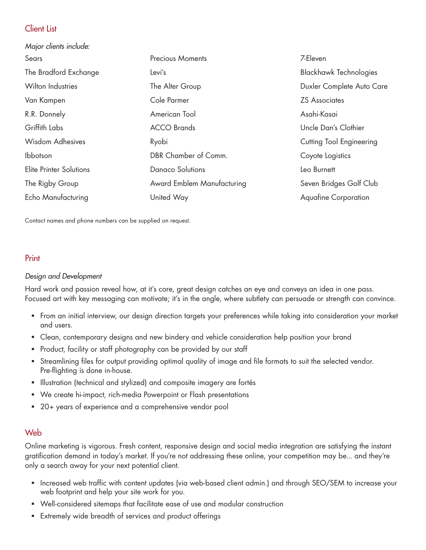## Client List

| Major clients include:         |                            |                               |
|--------------------------------|----------------------------|-------------------------------|
| Sears                          | <b>Precious Moments</b>    | 7-Eleven                      |
| The Bradford Exchange          | Levi's                     | <b>Blackhawk Technologies</b> |
| <b>Wilton Industries</b>       | The Alter Group            | Duxler Complete Auto Care     |
| Van Kampen                     | Cole Parmer                | <b>ZS Associates</b>          |
| R.R. Donnely                   | American Tool              | Asahi-Kasai                   |
| Griffith Labs                  | <b>ACCO Brands</b>         | Uncle Dan's Clothier          |
| Wisdom Adhesives               | Ryobi                      | Cutting Tool Engineering      |
| Ibbotson                       | DBR Chamber of Comm.       | Coyote Logistics              |
| <b>Elite Printer Solutions</b> | <b>Danaco Solutions</b>    | Leo Burnett                   |
| The Rigby Group                | Award Emblem Manufacturing | Seven Bridges Golf Club       |
| Echo Manufacturing             | United Way                 | <b>Aquafine Corporation</b>   |

Contact names and phone numbers can be supplied on request.

## Print

### *Design and Development*

Hard work and passion reveal how, at it's core, great design catches an eye and conveys an idea in one pass. Focused art with key messaging can motivate; it's in the angle, where subtlety can persuade or strength can convince.

- From an initial interview, our design direction targets your preferences while taking into consideration your market and users.
- Clean, contemporary designs and new bindery and vehicle consideration help position your brand
- **Product, facility or staff photography can be provided by our staff**
- Streamlining files for output providing optimal quality of image and file formats to suit the selected vendor. Pre-flighting is done in-house.
- **Illustration (technical and stylized) and composite imagery are fortés**
- We create hi-impact, rich-media Powerpoint or Flash presentations
- 20+ years of experience and a comprehensive vendor pool

## Web

Online marketing is vigorous. Fresh content, responsive design and social media integration are satisfying the instant gratification demand in today's market. If you're not addressing these online, your competition may be... and they're only a search away for your next potential client.

- Increased web traffic with content updates (via web-based client admin.) and through SEO/SEM to increase your web footprint and help your site work for you.
- Well-considered sitemaps that facilitate ease of use and modular construction
- **Extremely wide breadth of services and product offerings**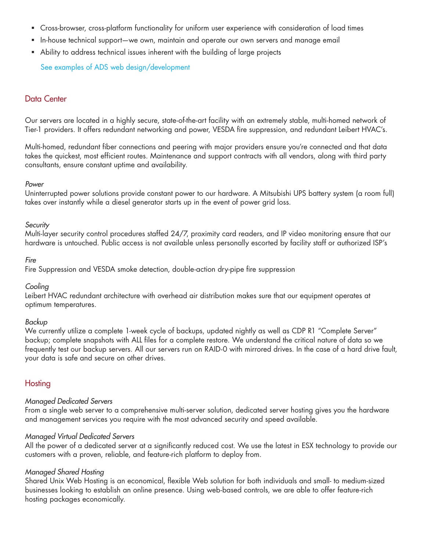- Cross-browser, cross-platform functionality for uniform user experience with consideration of load times
- In-house technical support—we own, maintain and operate our own servers and manage email
- Ability to address technical issues inherent with the building of large projects

See ex[amples of ADS web design/development](http://www.artisticdigital.com/webPortfolio.php?albumid=15)

## Data Center

Our servers are located in a highly secure, state-of-the-art facility with an extremely stable, multi-homed network of Tier-1 providers. It offers redundant networking and power, VESDA fire suppression, and redundant Leibert HVAC's.

Multi-homed, redundant fiber connections and peering with major providers ensure you're connected and that data takes the quickest, most efficient routes. Maintenance and support contracts with all vendors, along with third party consultants, ensure constant uptime and availability.

#### *Power*

Uninterrupted power solutions provide constant power to our hardware. A Mitsubishi UPS battery system (a room full) takes over instantly while a diesel generator starts up in the event of power grid loss.

#### *Security*

Multi-layer security control procedures staffed 24/7, proximity card readers, and IP video monitoring ensure that our hardware is untouched. Public access is not available unless personally escorted by facility staff or authorized ISP's

#### *Fire*

Fire Suppression and VESDA smoke detection, double-action dry-pipe fire suppression

#### *Cooling*

Leibert HVAC redundant architecture with overhead air distribution makes sure that our equipment operates at optimum temperatures.

#### *Backup*

We currently utilize a complete 1-week cycle of backups, updated nightly as well as CDP R1 "Complete Server" backup; complete snapshots with ALL files for a complete restore. We understand the critical nature of data so we frequently test our backup servers. All our servers run on RAID-0 with mirrored drives. In the case of a hard drive fault, your data is safe and secure on other drives.

### **Hosting**

#### *Managed Dedicated Servers*

From a single web server to a comprehensive multi-server solution, dedicated server hosting gives you the hardware and management services you require with the most advanced security and speed available.

#### *Managed Virtual Dedicated Servers*

All the power of a dedicated server at a significantly reduced cost. We use the latest in ESX technology to provide our customers with a proven, reliable, and feature-rich platform to deploy from.

#### *Managed Shared Hosting*

Shared Unix Web Hosting is an economical, flexible Web solution for both individuals and small- to medium-sized businesses looking to establish an online presence. Using web-based controls, we are able to offer feature-rich hosting packages economically.